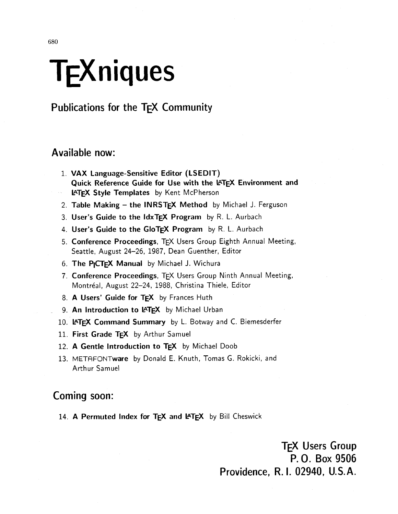# **TFXniques**

## Publications for the **TEX** Community

## Available now:

- 1. VAX Language-Sensitive Editor (LSEDIT) Quick Reference Guide for Use with the LATEX Environment and LATEX Style Templates by Kent McPherson
- 2. Table Making the INRSTEX Method by Michael J. Ferguson
- 3. User's Guide to the  $ldxTeX$  Program by R. L. Aurbach
- 4. User's Guide to the GloTEX Program by R. L. Aurbach
- 5. Conference Proceedings, TFX Users Group Eighth Annual Meeting, Seattle, August 24-26, 1987, Dean Guenther, Editor
- 6. The PICTEX Manual by Michael J. Wichura
- 7. Conference Proceedings, TEX Users Group Ninth Annual Meeting, Montréal, August 22-24, 1988, Christina Thiele, Editor
- 8. A Users' Guide for TEX by Frances Huth
- 9. An Introduction to LATEX by Michael Urban
- 10. LAT<sub>F</sub>X Command Summary by L. Botway and C. Biemesderfer
- 11. First Grade TEX by Arthur Samuel
- 12. A Gentle Introduction to  $T_{E}X$  by Michael Doob
- 13. METAFONTware by Donald E. Knuth, Tomas G. Rokicki, and Arthur Samuel

## Coming soon:

14. A Permuted Index for TEX and LATEX by Bill Cheswick

**TEX** Users Group P. **0.** Box <sup>9506</sup> Providence, R. **1.** 02940, U.S. A.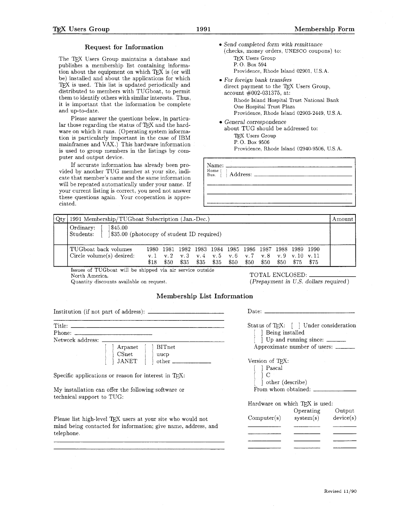#### Request for Information

The TFX Users Group maintains a database and publishes a membership list containing information about the equipment on which TEX is (or will be) installed and about the applications for which TEX is used. This list is updated periodically and distributed to members with TUGboat, to permit them to identify others with similar interests. Thus. it is important that the information be complete and up-to-date.

Please answer the questions below, in particular those regarding the status of TEX and the hardware on which it runs. (Operating system information is particularly important in the case of IBM mainframes and VAX.) This hardware information is used to group members in the listings by computer and output device.

If accurate information has already been provided by another TUG member at your site. indicate that member's name and the same information will be repeated automatically under your name. If your current listing is correct, you need not answer these questions again. Your cooperation is appreciated.

- **0** Send completed form with remittance (checks, money orders, UNESCO coupons) to: TEX Users Group P. 0. Box 594 Providence, Rhode Island 02901, U.S.A.
- **0** For foreign bank transfers direct payment to the TEX Users Group, account #002-031375, at: Rhode Island Hospital Trust National Bank One Hospital Trust Plaza Providence, Rhode Island 02903-2449. U.S.A.
- General correspondence about TUG should be addressed to: TFX Users Group P. 0. Box 9506 Providence. Rhode Island 02940-9506, U.S.A.

| Name: |  |
|-------|--|
|       |  |
|       |  |

| Qty | 1991 Membership/TUGboat Subscription (Jan.-Dec.)                                             |      |      |      |      |      |      |                                                        |      | Amount |      |      |  |
|-----|----------------------------------------------------------------------------------------------|------|------|------|------|------|------|--------------------------------------------------------|------|--------|------|------|--|
|     | \$45.00<br>Ordinary:<br>$\frac{1}{335.00}$ (photocopy of student ID required)<br>Students: [ |      |      |      |      |      |      |                                                        |      |        |      |      |  |
|     | TUGboat back volumes                                                                         |      |      |      |      |      |      | 1980 1981 1982 1983 1984 1985 1986 1987 1988 1989 1990 |      |        |      |      |  |
|     | Circle volume $(s)$ desired:                                                                 | \$18 | \$50 | \$35 | \$35 | \$35 | \$50 | v.1 v.2 v.3 v.4 v.5 v.6 v.7 v.8 v.9 v.10 v.11<br>\$50  | \$50 | \$50.  | \$75 | \$75 |  |

Issues of TUGboat will be shipped via air service outside North America. TOTAL ENCLOSED:<br>Quantity discounts available on request. (Prepayment in U.S. d

 $(Prepayment in U.S. dollars required)$ 

#### Membership List Information

Institution (if not part of address):  $\overline{\phantom{a}}$ 

| Phone: | Network address.                                                                                      |  |
|--------|-------------------------------------------------------------------------------------------------------|--|
|        | Arpanet   BITnet<br>$\Box$ CSnet $\Box$<br>uucp<br>$\lceil$ ] JANET $\lceil$ $\rceil$<br>other $\_\_$ |  |

Specific applications or reason for interest in TFX:

My installation can offer the following software or technical support to TUG:

Please list high-level TFX users at your site who would not mind being contacted for information; give name, address, and telephone.

| m                                                                                                                                                                           |                                                                      |
|-----------------------------------------------------------------------------------------------------------------------------------------------------------------------------|----------------------------------------------------------------------|
| Date: ____                                                                                                                                                                  |                                                                      |
| [ ] Being installed                                                                                                                                                         | Status of TEX: [] Under consideration                                |
|                                                                                                                                                                             | Up and running since: ______<br>Approximate number of users: _______ |
| Version of TEX:                                                                                                                                                             |                                                                      |
|                                                                                                                                                                             |                                                                      |
| $\begin{array}{ll} & \textcolor{red}{\mid} & \textcolor{red}{\textbf{Pascal}} \\ & \textcolor{red}{\mid} & \textcolor{red}{\mid} & \textcolor{red}{\textbf{C}} \end{array}$ | $\int$ other (describe)                                              |
|                                                                                                                                                                             | From whom obtained:                                                  |
|                                                                                                                                                                             | Hardware on which TEX is used:                                       |
|                                                                                                                                                                             | Operating Output                                                     |

| Computer(s) | Operating<br>system(s) | Output<br>device(s) |
|-------------|------------------------|---------------------|
|             |                        |                     |
|             |                        |                     |
|             |                        |                     |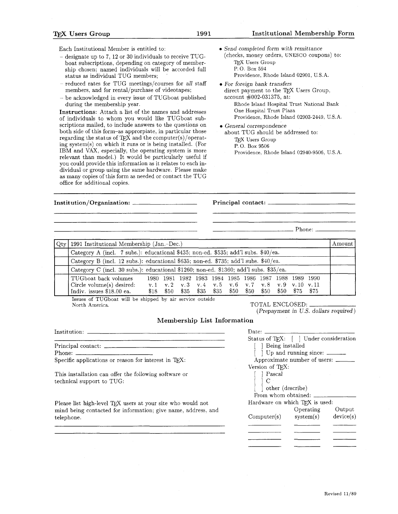Each Institutional Member is entitled to:

- designate up to 7, 12 or 30 individuals to receive TUGboat subscriptions, depending on category of membership chosen; named individuals will be accorded full status as individual TUG members;
- $-$  reduced rates for TUG meetings/courses for all staff members, and for rental/purchase of videotapes:
- be acknowledged in every issue of TUGboat published during the membership year.

Instructions: Attach a list of the names and addresses of individuals to whom you would like TUGboat subscriptions mailed, to include answers to the questions on both side of this form-as approrpiate, in particular those regarding the status of TEX and the computer(s)/operating system(s) on which it runs or is being installed. (For IBM and VAX, especially, the operating system is more relevant than model.) It would be particularly useful if you could provide this information as it relates to each individual or group using the same hardware. Please make as many copies of this form as needed or contact the TUG office for additional copies.

| • Send completed form with remittance<br>(checks, money orders, UNESCO coupons) to: |
|-------------------------------------------------------------------------------------|
| TFX Users Group                                                                     |
| P. O. Box 594                                                                       |
| Providence, Rhode Island 02901, U.S.A.                                              |
| $\bullet$ For foreign bank transfers                                                |

For foreign bank transfers<br>direct payment to the TEX Users Group, account #002-031375, at: Rhode Island Hospital Trust National Bank One Hospital Trust Plaza

Providence, Rhode Island 02903-2449, U.S.A.

- General correspondence
- about TUG should be addressed to: TFX Users Group P. 0. Box <sup>9506</sup>
	- Providence, Rhode Island 02940-9506, U. S. A.

Institution/Organization: **Principal contact:** 

Phone:

| Qty 1991 Institutional Membership (Jan.-Dec.)                                             |                                                                                                                                                                   |  |  |  |  | Amount |
|-------------------------------------------------------------------------------------------|-------------------------------------------------------------------------------------------------------------------------------------------------------------------|--|--|--|--|--------|
| Category A (incl. 7 subs.): educational \$435; non-ed. \$535; add'l subs. \$40/ea.        |                                                                                                                                                                   |  |  |  |  |        |
| Category B (incl. 12 subs.): educational $$635$ ; non-ed. $$735$ ; add'l subs. $$40/ea$ . |                                                                                                                                                                   |  |  |  |  |        |
| Category C (incl. 30 subs.): educational \$1260; non-ed. \$1360; add'l subs. \$35/ea.     |                                                                                                                                                                   |  |  |  |  |        |
| TUGboat back volumes<br>Circle volume $(s)$ desired:<br>Indiv. issues \$18.00 ea.         | 1980 1981 1982 1983 1984 1985 1986 1987 1988 1989 1990<br>v.1 v.2 v.3 v.4 v.5 v.6 v.7 v.8 v.9 v.10 v.11<br>\$18 \$50 \$35 \$35 \$35 \$50 \$50 \$50 \$50 \$75 \$75 |  |  |  |  |        |

Issues of TUGboat will be shipped by air service outside

#### Membership List Information

Institution:  $\_\_$ 

Principal contact: Phone:

Specific applications or reason for interest in TFX:

This installation can offer the following software or technical support to TUG:

Please list high-level TEX users at your site who would not mind being contacted for information; give name, address. and telephone.

| Status of TEX: [] Under consideration<br>Being installed<br>Up and running since: ______<br>Approximate number of users: ____<br>Version of TFX:<br>Pascal<br>$\Box$ C<br>other (describe)<br>From whom obtained: $\equiv$<br>Hardware on which TFX is used: | TOTAL ENCLOSED: | (Prepayment in U.S. dollars required) |           |
|--------------------------------------------------------------------------------------------------------------------------------------------------------------------------------------------------------------------------------------------------------------|-----------------|---------------------------------------|-----------|
|                                                                                                                                                                                                                                                              | ıtion           |                                       |           |
|                                                                                                                                                                                                                                                              | Date:           |                                       |           |
|                                                                                                                                                                                                                                                              |                 |                                       |           |
|                                                                                                                                                                                                                                                              |                 |                                       |           |
|                                                                                                                                                                                                                                                              |                 |                                       |           |
|                                                                                                                                                                                                                                                              |                 |                                       |           |
|                                                                                                                                                                                                                                                              |                 |                                       |           |
|                                                                                                                                                                                                                                                              |                 |                                       |           |
|                                                                                                                                                                                                                                                              |                 |                                       |           |
|                                                                                                                                                                                                                                                              |                 |                                       |           |
|                                                                                                                                                                                                                                                              |                 |                                       |           |
|                                                                                                                                                                                                                                                              |                 |                                       |           |
|                                                                                                                                                                                                                                                              |                 | Operating                             | Output    |
| system(s)                                                                                                                                                                                                                                                    | Computer(s)     |                                       | device(s) |
|                                                                                                                                                                                                                                                              |                 |                                       |           |
|                                                                                                                                                                                                                                                              |                 |                                       |           |
|                                                                                                                                                                                                                                                              |                 |                                       |           |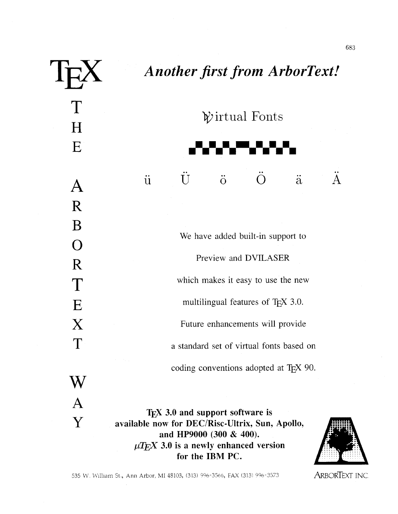

*Another first from ArborText!* 

 $\mathcal{W}$ irtual Fonts

 $\ddot{O}$ 

 $\ddot{a}$ 

 $\overline{A}$ 

 $\ddot{\mathrm{o}}$ 

 $\ddot{\mathrm{U}}$ 

ü

We have added built-in support to Preview and DVILASER which makes it easy to use the new multilingual features of T<sub>E</sub>X 3.0. Future enhancements will provide a standard set of virtual fonts based on coding conventions adopted at T<sub>E</sub>X 90.

**TEX 3.0 and support software is** Y **available now for DEC/Risc-Ultrix, Sun, Apollo, and HP9000 (300** & **400).**   $\mu T_F X$  3.0 is a newly enhanced version **for the IBM PC.** 



535 W. William St., Ann Arbor, MI 48103, (313) 996-3566, FAX (313) 996-3573

**ARBORTEXT INC.**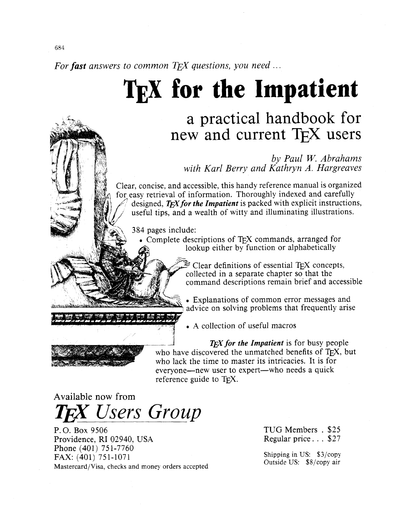## For **fast** answers to common T<sub>F</sub>X questions, you need ...

# **TEX for the Impatient**

# a practical handbook for new and current T<sub>F</sub>X users

*by Paul W. Abrahams with Karl Berry and Kathryn A. Hargreaves* 

Clear, concise, and accessible, this handy reference manual is organized for easy retrieval of information. Thoroughly indexed and carefully designed, T<sub>F</sub>X for the Impatient is packed with explicit instructions, useful tips, and a wealth of witty and illuminating illustrations.

384 pages include:

Complete descriptions of T<sub>EX</sub> commands, arranged for lookup either by function or alphabetically

> Clear definitions of essential T<sub>EX</sub> concepts, collected in a separate chapter so that the command descriptions remain brief and accessible

. Explanations of common error messages and advice on solving problems that frequently arise

A collection of useful macros

*TFX for the Impatient* is for busy people who have discovered the unmatched benefits of  $T_F X$ , but who lack the time to master its intricacies. It is for everyone—new user to expert—who needs a quick reference guide to T<sub>F</sub>X.

**Available** now from *TEX Users Group* 

P. 0. Box 9506 Providence, RI 02940, USA Phone (401) 75 1-7760 FAX: (401) 751-1071 Mastercard/Visa, checks and money orders accepted TUG Members . \$25 Regular price . . . \$27

Shipping in US: \$3/copy Outside US: \$8/copy air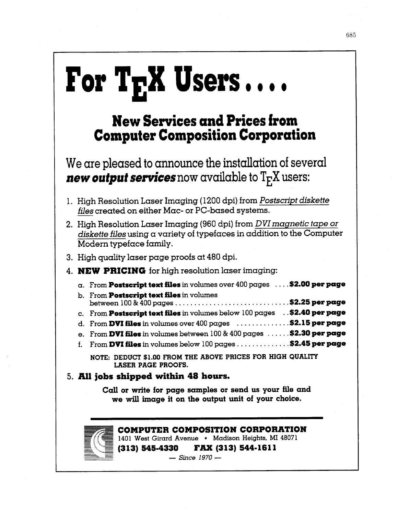# $\Gamma$ or  $T_F X$  Users....

## **New Services and Prices from Computer Composition Corporation**

We are pleased to announce the installation of several **new output services** now available to T<sub>F</sub>X users:

- 1. High Resolution Laser Imaging (1 200 dpi) from *Postscript diskette files* created on either Mac- or PC-based systems.
- 2. High Resolution Laser Imaging (960 dpi) from *DVfmagnetic tape or diskette files* using a variety of typefaces in addition to the Computer Modern typeface family.
- **3.** High quality laser page proofs at 480 dpi.
- 4. **NEW PRICING** for high resolution laser imaging:
	- **a. From Postscript text files in volumes over 400 pages** . . . . **\$2.00 per page b. From Postscript text files in volumes between 100** & **400 pages** . . . . . . . . . . . . . . . . . . . . . . . . . . . . . . **\$2.25 per page c. From Postscript text files in volumes below 100 pages** . . **\$2.40 per page d. From DVI files in volumes over 400 pages** . . . . . . . . . . . . . . **\$2.15 per page e. From DVI files in volumes between 100** & **400 pages** . . . . . . **\$2.30 per page f. From DVI files in volumes below 100 pages** . . . . . . . . . . . . . . **\$2.45 per page NOTE: DEDUCT \$1.00 FROM THE ABOVE PRICES FOR HIGH QUALITY**

**LASER PAGE PROOFS.** 

## **5. All jobs shipped within 48 hours.**

**Call or write for page samples or send us your file and we will image it on the output unit of your choice.** 

## COMPUTER COMPOSITION CORPORATION

1401 West Girard Avenue . Madison Heights, MI 48071 (313) 545-4330 FAX (313) 544-1611

 $-$  Since  $1970-$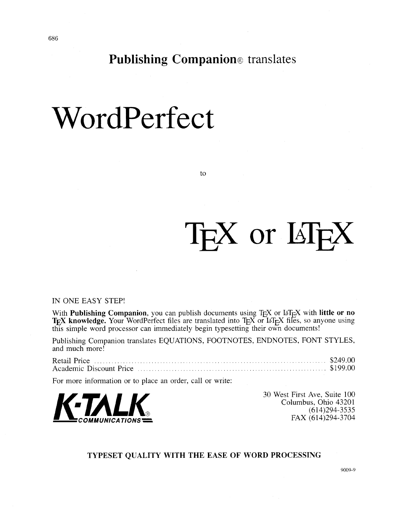**Publishing Companion@** translates

# WordPerfect

to.

# T<sub>F</sub>X or Li<sub>F</sub>X

IN ONE EASY STEP!

With **Publishing Companion**, you can publish documents using T<sub>E</sub>X or LaT<sub>E</sub>X with **little or no** T<sub>E</sub>X knowledge. Your WordPerfect files are translated into T<sub>E</sub>X or LaT<sub>E</sub>X files, so anyone using the simple using the sim this simple word processor can immediately begin typesetting their own documents!

Publishing Companion translates EQUATIONS, FOOTNOTES, ENDNOTES, FONT STYLES, and much more!

For more information or to place an order, call or write:



30 West First Ave, Suite 100 Columbus, Ohio 43201 (614)294-3535 FAX (614)294-3704

**TYPESET QUALITY WITH THE EASE OF WORD PROCESSING** 

686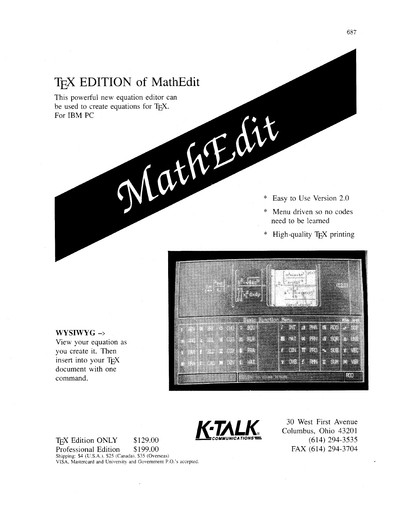## TFX EDITION of MathEdit

This powerful new equation editor can Equations for TEX. be used to create equations for T<sub>F</sub>X. For IBM PC

- Easy to Use Version 2.0
- Menu driven so no codes need to be learned
- $\ast$ High-quality T<sub>F</sub>X printing





View your equation as you create it. Then insert into your TFX document with one command.

T<sub>F</sub>X Edition ONLY \$129.00 Professional Edition \$199.00 Shipping: \$4 (U.S.A.), \$25 (Canada). \$35 (Overseas)

VISA, Mastercard and University and Government P.O.'s accepted



30 West First Avenue<br>Columbus, Ohio 43201 **COMMUNICATIONS=** (614) 294-3535 FAX (614) 294-3704

687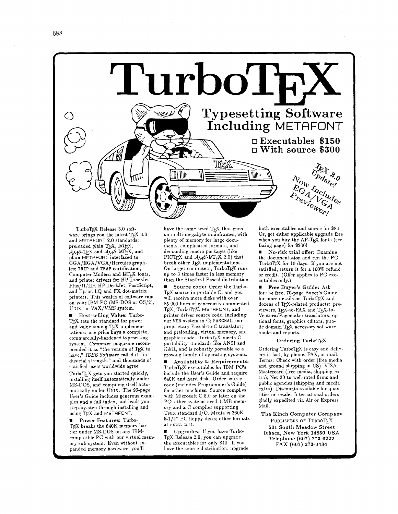

TurboTEX Release 3.0 software brings you the latest TEX 3.0 and METAFONT 2.0 standards: preloaded plain TEX,  $\text{LFT}_\text{E}$ X, AMS-T<sub>E</sub>X and AMS-LAT<sub>E</sub>X, and plain METAFONT interfaced to CGA/EGA/VGA/Hercules graphics; TRIP and TRAP certification; Computer Modern and IATFX fonts, and printer drivers for HP LaserJet Plus/II/IIP, HP DeskJet, PostScript, and Epson LQ and FX dot-matrix printers. This wealth of software runs on your IBM PC (MS-DOS or OS/2), UNIX, or VAX/VMS system.

Best-selling Value: Turbo- TFX sets the standard for power and value among TEX implementations: one price buys a complete, commercially-hardened typesetting system. Computer magazine recommended it as "the version of TEX to have," IEEE Software called it "industrial strength," and thousands of satisfied users worldwide agree.

TurboTEX gets you started quickly, installing itself automatically under MS-DOS, and compiling itself automatically under UNIX. The 90-page User's Guide includes generous examples and a full index, and leads you step-by-step through installing and using T<sub>E</sub>X and METAFONT.

Power Features: Turbo-TEX breaks the 640K memory barrier under MS-DOS on any IBMcompatible PC with our virtual memory sub-system. Even without ex panded memory hardware, you'll

have the same sized TEX that runs on multi-megabyte mainframes, with plenty of memory for large documents, complicated formats, and demanding macro packages (like PICTEX and  $A_{\mathcal{M}}S$ -IAT<sub>E</sub>X 2.0) that break other TEX implementations. On larger computers, TurboTEX runs up to **3** times faster in less memory than the Stanford Pascal distribution.

Source code: Order the Turbo-TEX source in portable C, and you will receive more disks with over 85,000 lines of generously commented  $\text{Tr} \mathbf{X}, \, \text{Turb}$  ,  $\text{MF} \mathbf{X}, \, \text{MF} \mathbf{X}$  , and printer driver source code, including: our WEB system in C; **PASCHAL,** our proprietary Pascal-to-C translator; and preloading, virtual memory, and graphics code. TurboTFX meets C portability standards like ANSI and K&R, and is robustly portable to a growing family of operating systems.

Availability & Requirements: TurboTFX executables for IBM PC's include the User's Guide and require 640K and hard disk. Order source code (includes Programmer's Guide) for other machines. Source compiles with Microsoft C 5.0 or later on the PC; other systems need 1 MB memory and a C compiler supporting UNIX standard I/O. Media is 360K 5-1/4" PC floppy disks; other formats at extra cost.

Upgrades: If you have Turbo-TFX Release 2.0, you can upgrade the executables for only \$40. If YOU have the source distribution, upgrade both executables and source for \$80. Or, get either applicable upgrade free when you buy the AP-TEX fonts (see facing page) for \$200!

No-risk trial offer: Examine the documentation and run the PC TurboTEX for 10 days. If you are not satisfied, return it for a 100% refund or credit. (Offer applies to PC executables only.)

Free Buyer's Guide: Ask  $\blacksquare$ for the free, 70-page Buyer's Guide for more details on TurboTFX and dozens of TEX-related products: previewers,  $T_F\overline{X}$ -to-FAX and  $T_FX$ -to-Ventura/Pagemaker translators, optional fonts, graphics editors, public domain TEX accessory software, books and reports.

#### Ordering TurboT<sub>F</sub>X

Ordering TurboTEX is easy and delivery is fast, by phone, FAX, or mail. Terms: Check with order (free media and ground shipping in US), VISA, Mastercard (free media, shipping extra); Net 30 to well-rated firms and public agencies (shipping and media extra). Discounts available for quantities or resale. International orders gladly expedited via Air or Express Mail.

The Kinch Computer Company PUBLISHERS OF TURBOTEX **501** South Meadow Street Ithaca, New York **14850** USA Telephone **(607) 273-0222**  FAX **(607) 273-0484**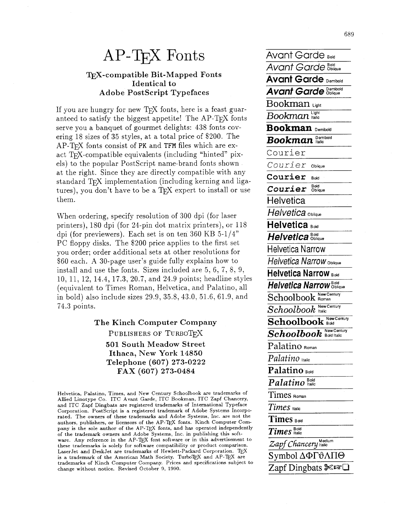# $AP-TrX$  Fonts **Avant Garde Bold**

### **TEX-compatible Bit-Mapped Fonts Identical to Adobe Postscript Typefaces**

If you are hungry for new TEX fonts, here is a feast guar-<br>anteed to satisfy the biggest appetite! The AP-TEX fonts  $\overline{Bookman}^{\text{Light}}_{\text{halic}}$ anteed to satisfy the biggest appetite! The AP-TFX fonts serve you a banquet of gourmet delights: 438 fonts covering 18 sizes of 35 styles, at a total price of \$200. The  $AP$ -T<sub>F</sub>X fonts consist of PK and TFM files which are exact TFX-compatible equivalents (including "hinted" pixels) to the popular PostScript name-brand fonts shown at the right. Since they are directly compatible with any standard TFX implementation (including kerning and ligatures), you don't have to be a TFX expert to install or use  $Helvetica$ <br>  $Helvetica$ <br>  $Helvetica$ 

When ordering, specify resolution of 300 dpi (for laser **Helvetica** oblique printers), 180 dpi (for 24-pin dot matrix printers), or 118 dpi (for previewers). Each set is on ten  $360$  KB  $5-1/4"$ PC floppy disks. The \$200 price applies to the first set you order; order additional sets at other resolutions for \$60 each. A 30-page user's guide fully explains how to install and use the fonts. Sizes included are 5, 6, 7, 8, 9, 10, 11, 12, 14.4, 17.3, 20.7, and 24.9 points; headline styles (equivalent to Times Roman, Helvetica, and Palatino, all in bold) also include sizes 29.9, 35.8, 43.0, 51.6, 61.9, and 74.3 points.

> **The Kinch Computer Company**  PUBLISHERS OF TURBOTEX **501 South Meadow Street Ithaca, New York 14850 Telephone (607) 273-0222 FAX (607) 273-0484**

Helvetica, Palatino, Times, and New Century Schoolbook are trademarks of Allied Linotype Co. ITC Avant Garde, ITC Bookman, ITC Zapf Chancery, and ITC Zapf Dingbats are registered trademarks of International Typeface Corporation. PostScript is a registered trademark of Adobe Systems Incorporated. The owners of these trademarks and Adobe Systems, Inc. are not the authors, publishers, or licensors of the AP-TEX fonts. Kinch Computer Company is the sole author of the **AP-TEX** fonts, and has operated independently of the trademark owners and Adobe Systems, Inc. in publishing this software. Any reference in the AP-TEX font software or in this advertisement to these trademarks is solely for software compatibility or product comparison. LaserJet and DeskJet are trademarks of Hewlett-Packard Corporation. TEX is a trademark of the American Math Society. TurboTEX and AP-TEX are trademarks of Kinch Computer Company. Prices and specifications subject to change without notice. Revised October 9, 1990.

**Avant** Garde **%tue Avant Garde** *Demibold*<br>*Avant Garde Demibold* **Bookman** Demibold **Demibdd** *BOO* **kman Italic**  Courier C o u ri **e** r **Oblique**  Courier **Bold** *Courier* **%iue Helvetica**   $H$ **elvetica** Bold Helvetica Narrow - - Helvetica Narrow **Obilque Helvetica Narrow Bold Helvetica Narrow Zque**   $Schoolbook$  **Rew Century**  $Schoolbook$  **New Century**  ${\bf Schoolbook}$  **Book**  $\boldsymbol{Schoolbook}$  and Italic  $\boldsymbol{Schoolbook}$ Palatino **Rmn**  *Palatino* **italic Palatino Bold**  *Palatino Boid* Times **Roman**  *Times*   $Times$  **Bold**  $\boldsymbol{Times}_{\text{Italic}}$ **Medium** Zapf *Chancery* **Italic**  Symbol ΔΦΓθΛΠΘ Zapf Dingbats  $\mathscr{F}^{\mathscr{F}}$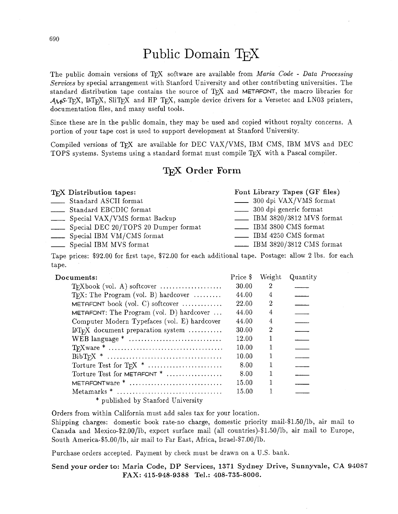## Public Domain TFX

The public domain versions of TEX software are available from *Maria* Code - *Data Processing Services* by special arrangement with Stanford University and other contributing universities. The standard distribution tape contains the source of TEX and METAFONT, the macro libraries for AMS-TFX, IATFX, SliTFX and HP TFX, sample device drivers for a Versetec and LN03 printers, documentation files, and many useful tools.

Since these are in the public domain, they may be used and copied without royalty concerns. A portion of your tape cost is used to support development at Stanford University.

Compiled versions of TFX are available for DEC VAX/VMS, IBM CMS, IBM MVS and DEC TOPS systems. Systems using a standard format must compile T<sub>F</sub>X with a Pascal compiler.

### **Order** Form

|                                                            | T <sub>F</sub> X Order Form                                                                                                                                                                                             |                                |                               |                                                                                                                                                                             |  |
|------------------------------------------------------------|-------------------------------------------------------------------------------------------------------------------------------------------------------------------------------------------------------------------------|--------------------------------|-------------------------------|-----------------------------------------------------------------------------------------------------------------------------------------------------------------------------|--|
| $\frac{1}{1}$<br>$\frac{1}{1}$<br>$\overline{\phantom{a}}$ | T <sub>F</sub> X Distribution tapes:<br>Standard ASCII format<br>Standard EBCDIC format<br>Special VAX/VMS format Backup<br>Special DEC 20/TOPS 20 Dumper format<br>Special IBM VM/CMS format<br>Special IBM MVS format | $\frac{1}{1}$<br>$\frac{1}{2}$ | 300 dpi generic format        | Font Library Tapes (GF files)<br>300 dpi VAX/VMS format<br>IBM 3820/3812 MVS format<br>IBM 3800 CMS format<br>IBM 4250 CMS format<br>$\frac{1}{2}$ IBM 3820/3812 CMS format |  |
| tape.                                                      | Tape prices: \$92.00 for first tape, \$72.00 for each additional tape. Postage: allow 2 lbs. for each                                                                                                                   |                                |                               |                                                                                                                                                                             |  |
|                                                            | Documents:<br>$Tr X$ : The Program (vol. B) hardcover                                                                                                                                                                   | Price \$<br>30.00<br>44.00     | Weight<br>$\overline{2}$<br>4 | Quantity                                                                                                                                                                    |  |

| $\omega_{\rm p}$ bitcos, $\omega_{\rm p}$ for $\omega_{\rm p}$ more vape, $\omega_{\rm r}$ for $\omega_{\rm p}$ and $\omega_{\rm r}$ and $\omega_{\rm p}$ , if $\omega_{\rm r}$ and $\omega_{\rm r}$<br>rpe. |          |               |          |
|--------------------------------------------------------------------------------------------------------------------------------------------------------------------------------------------------------------|----------|---------------|----------|
| Documents:                                                                                                                                                                                                   | Price \$ | Weight        | Quantity |
|                                                                                                                                                                                                              | 30.00    | 2             |          |
| $Tr X$ : The Program (vol. B) hardcover                                                                                                                                                                      | 44.00    | 4             |          |
| METAFONT book (vol. $C$ ) softcover $\ldots \ldots \ldots$                                                                                                                                                   | 22.00    | 2             |          |
| METAFONT: The Program (vol. $D$ ) hardcover                                                                                                                                                                  | 44.00    | 4             |          |
| Computer Modern Typefaces (vol. E) hardcover                                                                                                                                                                 | 44.00    | 4             |          |
| $\text{LFT}_F X$ document preparation system                                                                                                                                                                 | 30.00    | $\mathcal{D}$ |          |
| WEB language *                                                                                                                                                                                               | 12.00    |               |          |
| $TFXware * \ldots \ldots \ldots \ldots \ldots \ldots \ldots \ldots \ldots \ldots$                                                                                                                            | 10.00    |               |          |
| $BibTpX * \ldots \ldots \ldots \ldots \ldots \ldots \ldots \ldots \ldots \ldots$                                                                                                                             | 10.00    |               |          |
| Torture Test for TFX $*$                                                                                                                                                                                     | 8.00     |               |          |
| Torture Test for METAFONT *                                                                                                                                                                                  | 8.00     |               |          |
| METAFONTware *                                                                                                                                                                                               | 15.00    |               |          |
|                                                                                                                                                                                                              | 15.00    |               |          |
| * published by Stanford University                                                                                                                                                                           |          |               |          |

Orders from within California must add sales tax for your location.

Shipping charges: domestic book rate-no charge, domestic priority mail-\$1.50/lb, air mail to Canada and Mexico-\$2.00/lb, export surface mail (all countries)-\$1.50/lb, air mail to Europe, South America-\$5.00/lb, air mail to Far East, Africa, Israel-\$7.00/lb.

Purchase orders accepted. Payment by check must be drawn on a U.S. bank.

Send your order to: Maria Code, DP Services, **1371** Sydney Drive, Sunnyvale, CA **94087**  FAX: **415-948-9388** Tel.: **408-735-8006.**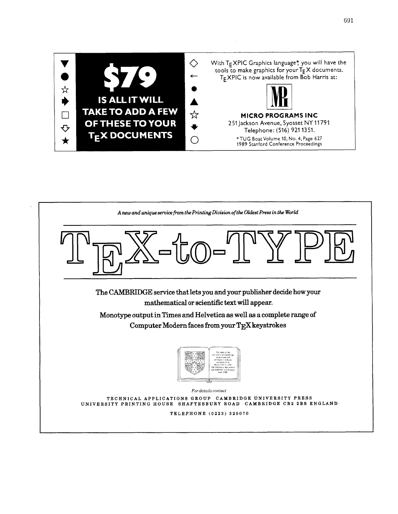

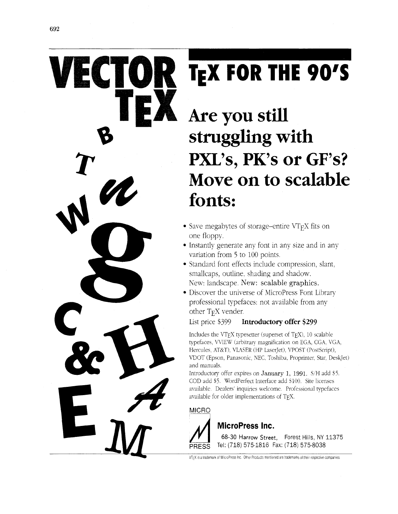# **ECTOR TEX FOR THE 90'S**

# **Are you still struggling with**  PXL's, PK's or GF's? **Move on to scalable fonts:**

- Save megabytes of storage-entire  $VTrX$  fits on one floppy.
- Instantly generate any font in any size and in any variation from 5 to 100 points.
- Standard font effects include compression, slant, smallcaps, outline. shading and shadow. New: landscape. New: scalable graphics.
- Discover the universe of MicroPress Font Library professional typefaces: not available from any other T<sub>F</sub>X vender.

## List price \$399 **Introductory offer \$299**

Includes the VT<sub>E</sub>X typesetter (superset of T<sub>E</sub>X), 10 scalable typefaces. WIEW (arbitrary magnification on EGA, CGA. VGA, Hercules, AT&T), VLASER (HP LaserJet), VPOST (PostScript), VDOT (Epson, Panasonic, NEC. Toshiba. Proprinter, Star. Deskjet) and manuals.

Introductory offer expires on January 1, 1991. S/H add \$5. COD add **Sj.** WordPerfect Interface add S100. Site licenses available. Dealers' inquiries welcome. Professional typefaces available for older implementations of TEX.

MICRO



## **MicroPress Inc.**

68-30 Harrow Street, Forest Hills, NY 11375 Tel: (718) 575-1816 Fax: (718) 575-8038

VT<sub>F</sub>X is a trademark of MicroPress Inc. Other Products mentioned are trademarks of their respective companies.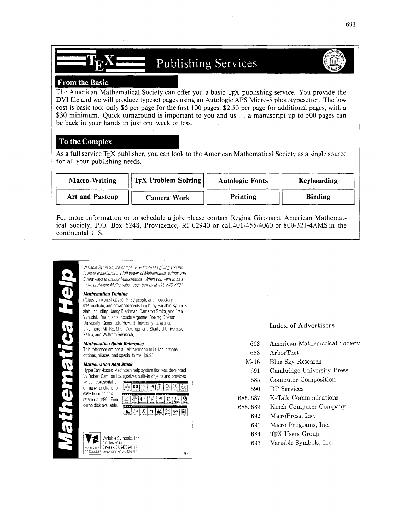## **Publishing Services**

### **From the Basic**

The American Mathematical Society can offer you a basic TFX publishing service. You provide the DVI file and we will produce typeset pages using an Autologic APS Micro-5 phototypesetter. The low cost is basic too: only \$5 per page for the first 100 pages; \$2.50 per page for additional pages, with a \$30 minimum. Quick turnaround is important to you and us ... a manuscript up to 500 pages can be back in your hands in just one week or less.

### **To the Complex**

As a full service  $T_F X$  publisher, you can look to the American Mathematical Society as a single source for all your publishing needs.

| Macro-Writing          | $Tr X$ Problem Solving | <b>Autologic Fonts</b> | Keyboarding    |
|------------------------|------------------------|------------------------|----------------|
| <b>Art and Pasteup</b> | Camera Work            | Printing               | <b>Binding</b> |

For more information or to schedule a job, please contact Regina Girouard, American Mathematical Society, P.O. Box 6248, Providence, RI 02940 or ca11401-455-4060 or 800-321-4AMSin the continental U.S.



| Variable Symbols, the company dedicated to giving you the     |
|---------------------------------------------------------------|
| tools to experience the full power of Mathematica, brings you |
| 3 new wavs to master Mathematica. When vou want to be a       |
| more proficient Mathematica user, call us at 415-843-8701.    |
|                                                               |

#### **Mathematica Training**

Hands-on workshops for 5-20 people at introductory, intermediate, and advanced levels taught by Variable Symbols staff, including Nancy Blachman, Cameron Smith, and Eran-Yehudal. Our clients include Argonne, Boeing, Boston University, Genentech, Howard University, Lawrence Livermore, MITRE, Shell Development, Stanford University, Xerox, and Wolfram Research, lnc.

#### **Mathemafica Uuick Reference**

This reference defines all Mathematica built-in functions, options, aliases, and special forms; \$9 95.

#### **Mathematica Help Stack**

Hypercard-based Macintosh help system that was developed by Robert Campbell categorizes built-in objects and provides visual representation

reference; \$89. Free demo disk available.

of many functions for  $\frac{1}{2}$  ,  $\frac{1}{2}$  ,  $\frac{1}{2}$  ,  $\frac{1}{2}$  ,  $\frac{1}{2}$  ,  $\frac{1}{2}$  ,  $\frac{1}{2}$  ,  $\frac{1}{2}$  ,  $\frac{1}{2}$  ,  $\frac{1}{2}$  ,  $\frac{1}{2}$  ,  $\frac{1}{2}$  ,  $\frac{1}{2}$  ,  $\frac{1}{2}$  ,  $\frac{1}{2}$  ,  $\frac{1}{2}$  ,  $\frac{1}{2$ 

 $Variable Symbols, Inc. P.0. Box 9013$ Berkeley, CA 94709-0013<br>Telephone: 415-843-8701

**1810** 

### **Index of Advertisers**

- American Mathematical Society 693
- 683 ArborText
- Blue Sky Research  $M-16$ 
	- 691 Cambridge University Press
- 685 Computer Composition
- DP Services
- K-Talk Communications 686,687
- Kinch Computer Company 688,689
	- 692 MicroPress, Inc.
	- 691 Micro Programs, Inc.
	- 684 Users Group
	- 693 Variable Symbols, Inc.